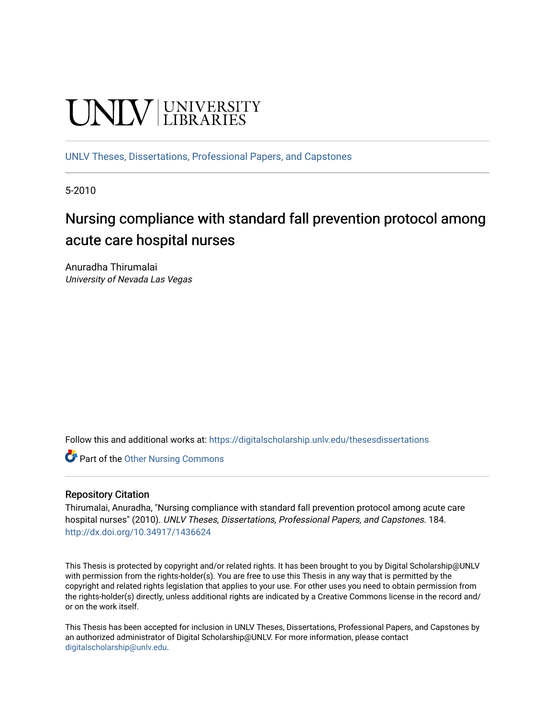# **UNIVERSITY**

[UNLV Theses, Dissertations, Professional Papers, and Capstones](https://digitalscholarship.unlv.edu/thesesdissertations)

5-2010

# Nursing compliance with standard fall prevention protocol among acute care hospital nurses

Anuradha Thirumalai University of Nevada Las Vegas

Follow this and additional works at: [https://digitalscholarship.unlv.edu/thesesdissertations](https://digitalscholarship.unlv.edu/thesesdissertations?utm_source=digitalscholarship.unlv.edu%2Fthesesdissertations%2F184&utm_medium=PDF&utm_campaign=PDFCoverPages)

**C** Part of the [Other Nursing Commons](http://network.bepress.com/hgg/discipline/729?utm_source=digitalscholarship.unlv.edu%2Fthesesdissertations%2F184&utm_medium=PDF&utm_campaign=PDFCoverPages)

#### Repository Citation

Thirumalai, Anuradha, "Nursing compliance with standard fall prevention protocol among acute care hospital nurses" (2010). UNLV Theses, Dissertations, Professional Papers, and Capstones. 184. <http://dx.doi.org/10.34917/1436624>

This Thesis is protected by copyright and/or related rights. It has been brought to you by Digital Scholarship@UNLV with permission from the rights-holder(s). You are free to use this Thesis in any way that is permitted by the copyright and related rights legislation that applies to your use. For other uses you need to obtain permission from the rights-holder(s) directly, unless additional rights are indicated by a Creative Commons license in the record and/ or on the work itself.

This Thesis has been accepted for inclusion in UNLV Theses, Dissertations, Professional Papers, and Capstones by an authorized administrator of Digital Scholarship@UNLV. For more information, please contact [digitalscholarship@unlv.edu](mailto:digitalscholarship@unlv.edu).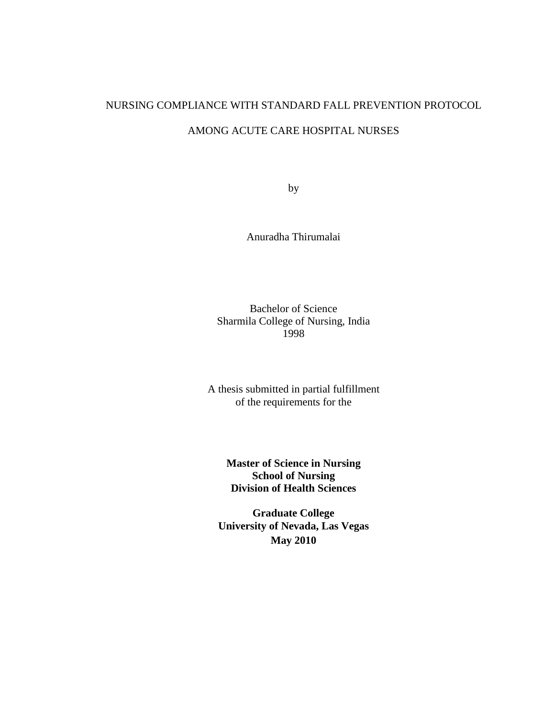# NURSING COMPLIANCE WITH STANDARD FALL PREVENTION PROTOCOL

# AMONG ACUTE CARE HOSPITAL NURSES

by

Anuradha Thirumalai

#### Bachelor of Science Sharmila College of Nursing, India 1998

A thesis submitted in partial fulfillment of the requirements for the

> **Master of Science in Nursing School of Nursing Division of Health Sciences**

**Graduate College University of Nevada, Las Vegas May 2010**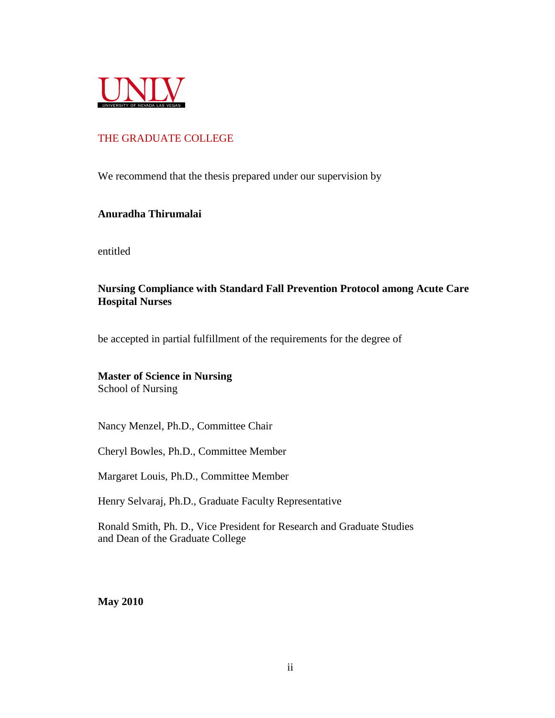

#### THE GRADUATE COLLEGE

We recommend that the thesis prepared under our supervision by

#### **Anuradha Thirumalai**

entitled

#### **Nursing Compliance with Standard Fall Prevention Protocol among Acute Care Hospital Nurses**

be accepted in partial fulfillment of the requirements for the degree of

# **Master of Science in Nursing**

School of Nursing

Nancy Menzel, Ph.D., Committee Chair

Cheryl Bowles, Ph.D., Committee Member

Margaret Louis, Ph.D., Committee Member

Henry Selvaraj, Ph.D., Graduate Faculty Representative

Ronald Smith, Ph. D., Vice President for Research and Graduate Studies and Dean of the Graduate College

**May 2010**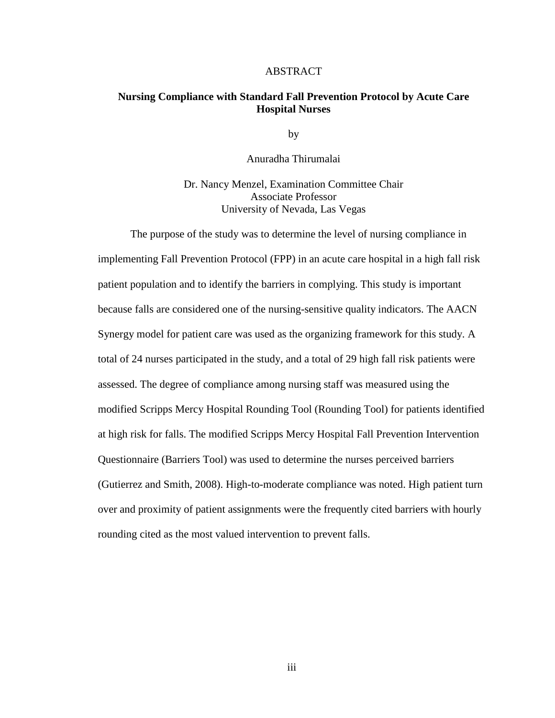#### ABSTRACT

#### **Nursing Compliance with Standard Fall Prevention Protocol by Acute Care Hospital Nurses**

by

Anuradha Thirumalai

Dr. Nancy Menzel, Examination Committee Chair Associate Professor University of Nevada, Las Vegas

The purpose of the study was to determine the level of nursing compliance in implementing Fall Prevention Protocol (FPP) in an acute care hospital in a high fall risk patient population and to identify the barriers in complying. This study is important because falls are considered one of the nursing-sensitive quality indicators. The AACN Synergy model for patient care was used as the organizing framework for this study. A total of 24 nurses participated in the study, and a total of 29 high fall risk patients were assessed. The degree of compliance among nursing staff was measured using the modified Scripps Mercy Hospital Rounding Tool (Rounding Tool) for patients identified at high risk for falls. The modified Scripps Mercy Hospital Fall Prevention Intervention Questionnaire (Barriers Tool) was used to determine the nurses perceived barriers (Gutierrez and Smith, 2008). High-to-moderate compliance was noted. High patient turn over and proximity of patient assignments were the frequently cited barriers with hourly rounding cited as the most valued intervention to prevent falls.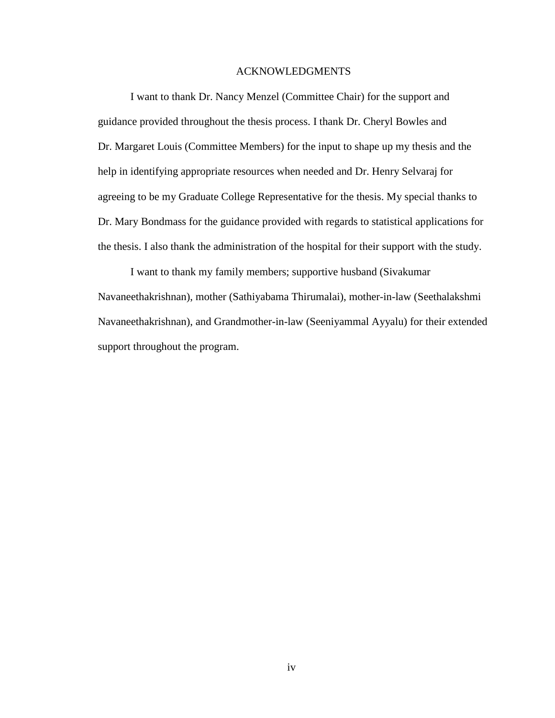#### ACKNOWLEDGMENTS

I want to thank Dr. Nancy Menzel (Committee Chair) for the support and guidance provided throughout the thesis process. I thank Dr. Cheryl Bowles and Dr. Margaret Louis (Committee Members) for the input to shape up my thesis and the help in identifying appropriate resources when needed and Dr. Henry Selvaraj for agreeing to be my Graduate College Representative for the thesis. My special thanks to Dr. Mary Bondmass for the guidance provided with regards to statistical applications for the thesis. I also thank the administration of the hospital for their support with the study.

I want to thank my family members; supportive husband (Sivakumar Navaneethakrishnan), mother (Sathiyabama Thirumalai), mother-in-law (Seethalakshmi Navaneethakrishnan), and Grandmother-in-law (Seeniyammal Ayyalu) for their extended support throughout the program.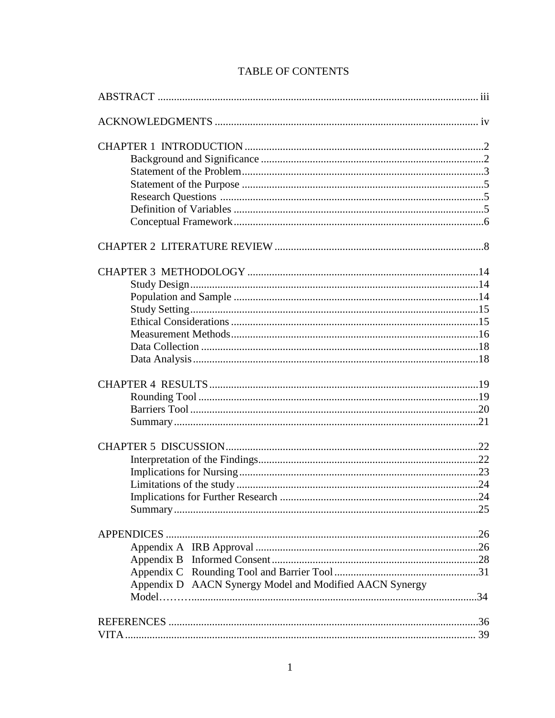| Appendix D AACN Synergy Model and Modified AACN Synergy |  |
|---------------------------------------------------------|--|
|                                                         |  |
|                                                         |  |
|                                                         |  |

# **TABLE OF CONTENTS**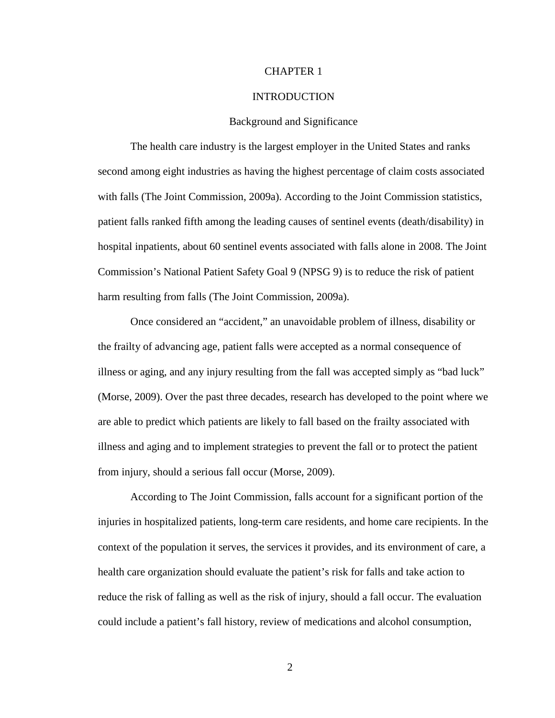#### CHAPTER 1

#### INTRODUCTION

#### Background and Significance

 The health care industry is the largest employer in the United States and ranks second among eight industries as having the highest percentage of claim costs associated with falls (The Joint Commission, 2009a). According to the Joint Commission statistics, patient falls ranked fifth among the leading causes of sentinel events (death/disability) in hospital inpatients, about 60 sentinel events associated with falls alone in 2008. The Joint Commission's National Patient Safety Goal 9 (NPSG 9) is to reduce the risk of patient harm resulting from falls (The Joint Commission, 2009a).

 Once considered an "accident," an unavoidable problem of illness, disability or the frailty of advancing age, patient falls were accepted as a normal consequence of illness or aging, and any injury resulting from the fall was accepted simply as "bad luck" (Morse, 2009). Over the past three decades, research has developed to the point where we are able to predict which patients are likely to fall based on the frailty associated with illness and aging and to implement strategies to prevent the fall or to protect the patient from injury, should a serious fall occur (Morse, 2009).

According to The Joint Commission, falls account for a significant portion of the injuries in hospitalized patients, long-term care residents, and home care recipients. In the context of the population it serves, the services it provides, and its environment of care, a health care organization should evaluate the patient's risk for falls and take action to reduce the risk of falling as well as the risk of injury, should a fall occur. The evaluation could include a patient's fall history, review of medications and alcohol consumption,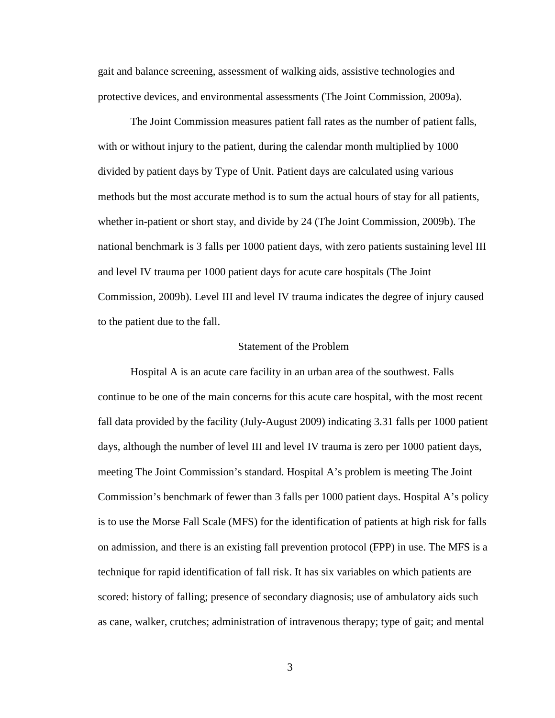gait and balance screening, assessment of walking aids, assistive technologies and protective devices, and environmental assessments (The Joint Commission, 2009a).

The Joint Commission measures patient fall rates as the number of patient falls, with or without injury to the patient, during the calendar month multiplied by 1000 divided by patient days by Type of Unit. Patient days are calculated using various methods but the most accurate method is to sum the actual hours of stay for all patients, whether in-patient or short stay, and divide by 24 (The Joint Commission, 2009b). The national benchmark is 3 falls per 1000 patient days, with zero patients sustaining level III and level IV trauma per 1000 patient days for acute care hospitals (The Joint Commission, 2009b). Level III and level IV trauma indicates the degree of injury caused to the patient due to the fall.

#### Statement of the Problem

Hospital A is an acute care facility in an urban area of the southwest. Falls continue to be one of the main concerns for this acute care hospital, with the most recent fall data provided by the facility (July-August 2009) indicating 3.31 falls per 1000 patient days, although the number of level III and level IV trauma is zero per 1000 patient days, meeting The Joint Commission's standard. Hospital A's problem is meeting The Joint Commission's benchmark of fewer than 3 falls per 1000 patient days. Hospital A's policy is to use the Morse Fall Scale (MFS) for the identification of patients at high risk for falls on admission, and there is an existing fall prevention protocol (FPP) in use. The MFS is a technique for rapid identification of fall risk. It has six variables on which patients are scored: history of falling; presence of secondary diagnosis; use of ambulatory aids such as cane, walker, crutches; administration of intravenous therapy; type of gait; and mental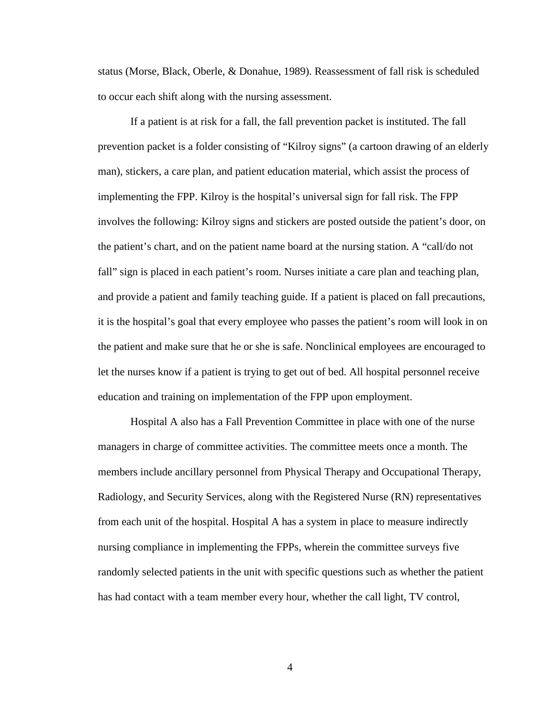status (Morse, Black, Oberle, & Donahue, 1989). Reassessment of fall risk is scheduled to occur each shift along with the nursing assessment.

If a patient is at risk for a fall, the fall prevention packet is instituted. The fall prevention packet is a folder consisting of "Kilroy signs" (a cartoon drawing of an elderly man), stickers, a care plan, and patient education material, which assist the process of implementing the FPP. Kilroy is the hospital's universal sign for fall risk. The FPP involves the following: Kilroy signs and stickers are posted outside the patient's door, on the patient's chart, and on the patient name board at the nursing station. A "call/do not fall" sign is placed in each patient's room. Nurses initiate a care plan and teaching plan, and provide a patient and family teaching guide. If a patient is placed on fall precautions, it is the hospital's goal that every employee who passes the patient's room will look in on the patient and make sure that he or she is safe. Nonclinical employees are encouraged to let the nurses know if a patient is trying to get out of bed. All hospital personnel receive education and training on implementation of the FPP upon employment.

Hospital A also has a Fall Prevention Committee in place with one of the nurse managers in charge of committee activities. The committee meets once a month. The members include ancillary personnel from Physical Therapy and Occupational Therapy, Radiology, and Security Services, along with the Registered Nurse (RN) representatives from each unit of the hospital. Hospital A has a system in place to measure indirectly nursing compliance in implementing the FPPs, wherein the committee surveys five randomly selected patients in the unit with specific questions such as whether the patient has had contact with a team member every hour, whether the call light, TV control,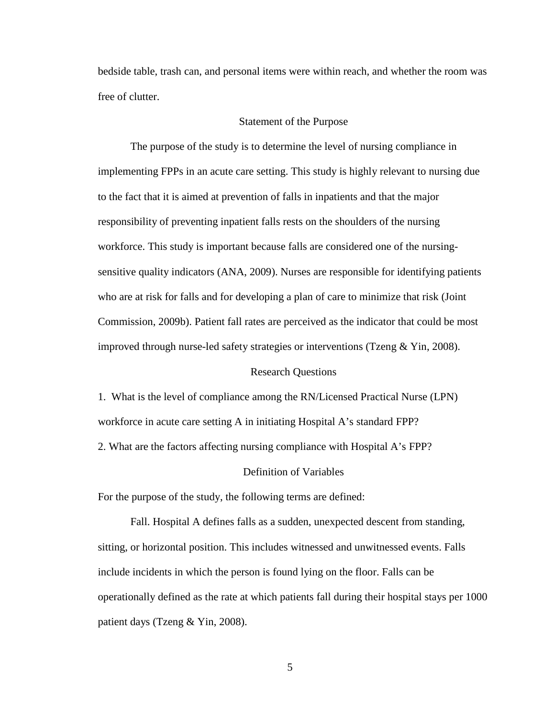bedside table, trash can, and personal items were within reach, and whether the room was free of clutter.

#### Statement of the Purpose

The purpose of the study is to determine the level of nursing compliance in implementing FPPs in an acute care setting. This study is highly relevant to nursing due to the fact that it is aimed at prevention of falls in inpatients and that the major responsibility of preventing inpatient falls rests on the shoulders of the nursing workforce. This study is important because falls are considered one of the nursingsensitive quality indicators (ANA, 2009). Nurses are responsible for identifying patients who are at risk for falls and for developing a plan of care to minimize that risk (Joint Commission, 2009b). Patient fall rates are perceived as the indicator that could be most improved through nurse-led safety strategies or interventions (Tzeng  $&$  Yin, 2008).

#### Research Questions

1. What is the level of compliance among the RN/Licensed Practical Nurse (LPN) workforce in acute care setting A in initiating Hospital A's standard FPP?

2. What are the factors affecting nursing compliance with Hospital A's FPP?

#### Definition of Variables

For the purpose of the study, the following terms are defined:

Fall. Hospital A defines falls as a sudden, unexpected descent from standing, sitting, or horizontal position. This includes witnessed and unwitnessed events. Falls include incidents in which the person is found lying on the floor. Falls can be operationally defined as the rate at which patients fall during their hospital stays per 1000 patient days (Tzeng & Yin, 2008).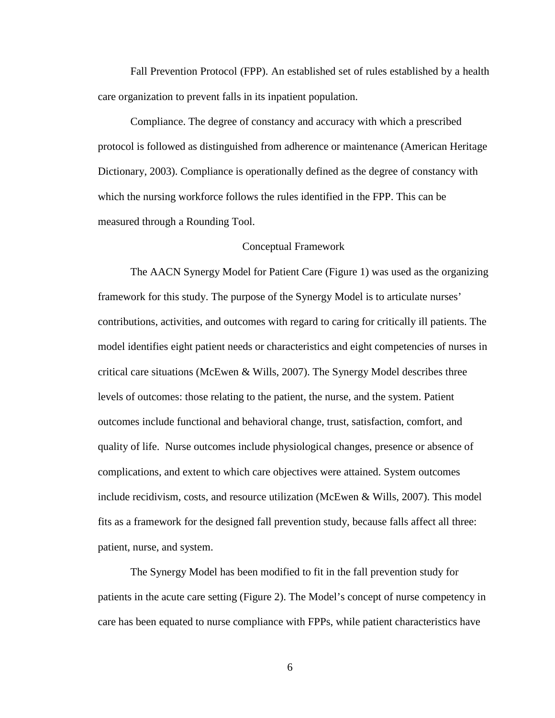Fall Prevention Protocol (FPP). An established set of rules established by a health care organization to prevent falls in its inpatient population.

Compliance. The degree of constancy and accuracy with which a prescribed protocol is followed as distinguished from adherence or maintenance (American Heritage Dictionary, 2003). Compliance is operationally defined as the degree of constancy with which the nursing workforce follows the rules identified in the FPP. This can be measured through a Rounding Tool.

#### Conceptual Framework

The AACN Synergy Model for Patient Care (Figure 1) was used as the organizing framework for this study. The purpose of the Synergy Model is to articulate nurses' contributions, activities, and outcomes with regard to caring for critically ill patients. The model identifies eight patient needs or characteristics and eight competencies of nurses in critical care situations (McEwen & Wills, 2007). The Synergy Model describes three levels of outcomes: those relating to the patient, the nurse, and the system. Patient outcomes include functional and behavioral change, trust, satisfaction, comfort, and quality of life. Nurse outcomes include physiological changes, presence or absence of complications, and extent to which care objectives were attained. System outcomes include recidivism, costs, and resource utilization (McEwen & Wills, 2007). This model fits as a framework for the designed fall prevention study, because falls affect all three: patient, nurse, and system.

 The Synergy Model has been modified to fit in the fall prevention study for patients in the acute care setting (Figure 2). The Model's concept of nurse competency in care has been equated to nurse compliance with FPPs, while patient characteristics have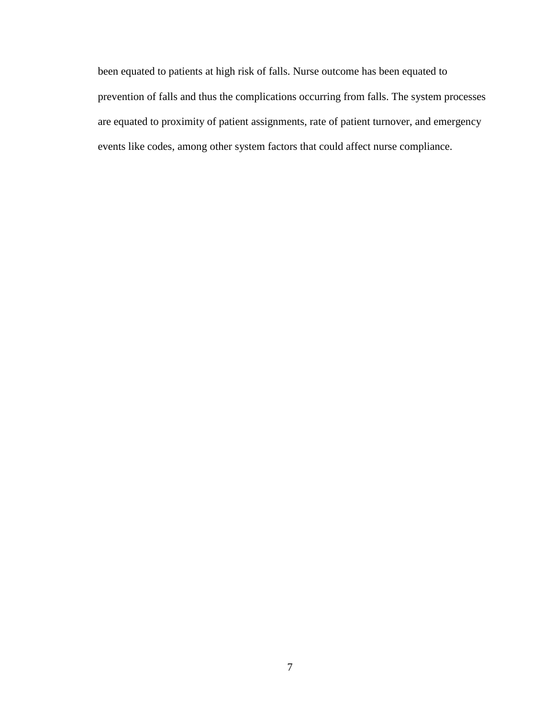been equated to patients at high risk of falls. Nurse outcome has been equated to prevention of falls and thus the complications occurring from falls. The system processes are equated to proximity of patient assignments, rate of patient turnover, and emergency events like codes, among other system factors that could affect nurse compliance.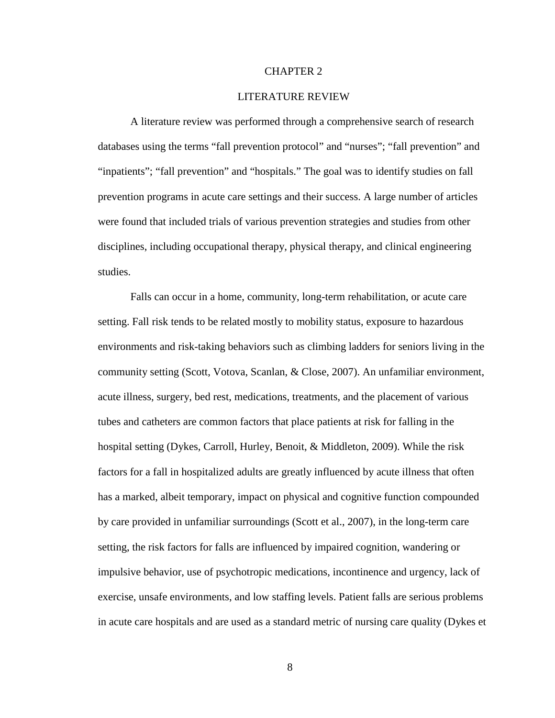#### CHAPTER 2

#### LITERATURE REVIEW

A literature review was performed through a comprehensive search of research databases using the terms "fall prevention protocol" and "nurses"; "fall prevention" and "inpatients"; "fall prevention" and "hospitals." The goal was to identify studies on fall prevention programs in acute care settings and their success. A large number of articles were found that included trials of various prevention strategies and studies from other disciplines, including occupational therapy, physical therapy, and clinical engineering studies.

Falls can occur in a home, community, long-term rehabilitation, or acute care setting. Fall risk tends to be related mostly to mobility status, exposure to hazardous environments and risk-taking behaviors such as climbing ladders for seniors living in the community setting (Scott, Votova, Scanlan, & Close, 2007). An unfamiliar environment, acute illness, surgery, bed rest, medications, treatments, and the placement of various tubes and catheters are common factors that place patients at risk for falling in the hospital setting (Dykes, Carroll, Hurley, Benoit, & Middleton, 2009). While the risk factors for a fall in hospitalized adults are greatly influenced by acute illness that often has a marked, albeit temporary, impact on physical and cognitive function compounded by care provided in unfamiliar surroundings (Scott et al., 2007), in the long-term care setting, the risk factors for falls are influenced by impaired cognition, wandering or impulsive behavior, use of psychotropic medications, incontinence and urgency, lack of exercise, unsafe environments, and low staffing levels. Patient falls are serious problems in acute care hospitals and are used as a standard metric of nursing care quality (Dykes et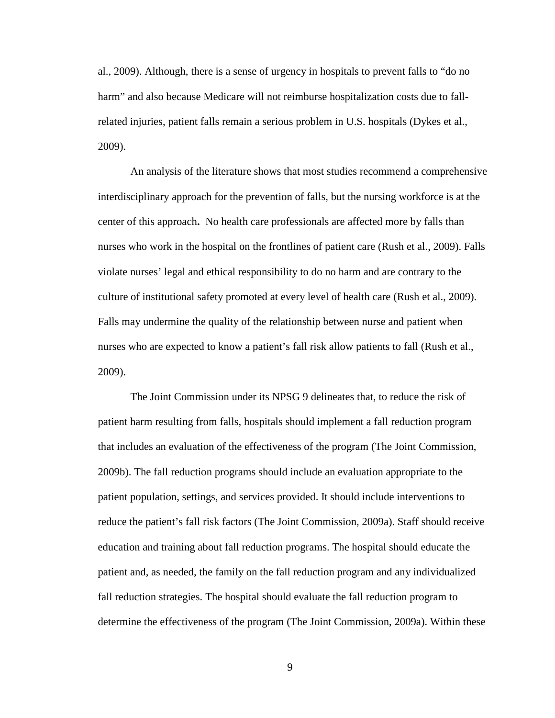al., 2009). Although, there is a sense of urgency in hospitals to prevent falls to "do no harm" and also because Medicare will not reimburse hospitalization costs due to fallrelated injuries, patient falls remain a serious problem in U.S. hospitals (Dykes et al., 2009).

An analysis of the literature shows that most studies recommend a comprehensive interdisciplinary approach for the prevention of falls, but the nursing workforce is at the center of this approach**.** No health care professionals are affected more by falls than nurses who work in the hospital on the frontlines of patient care (Rush et al., 2009). Falls violate nurses' legal and ethical responsibility to do no harm and are contrary to the culture of institutional safety promoted at every level of health care (Rush et al., 2009). Falls may undermine the quality of the relationship between nurse and patient when nurses who are expected to know a patient's fall risk allow patients to fall (Rush et al., 2009).

The Joint Commission under its NPSG 9 delineates that, to reduce the risk of patient harm resulting from falls, hospitals should implement a fall reduction program that includes an evaluation of the effectiveness of the program (The Joint Commission, 2009b). The fall reduction programs should include an evaluation appropriate to the patient population, settings, and services provided. It should include interventions to reduce the patient's fall risk factors (The Joint Commission, 2009a). Staff should receive education and training about fall reduction programs. The hospital should educate the patient and, as needed, the family on the fall reduction program and any individualized fall reduction strategies. The hospital should evaluate the fall reduction program to determine the effectiveness of the program (The Joint Commission, 2009a). Within these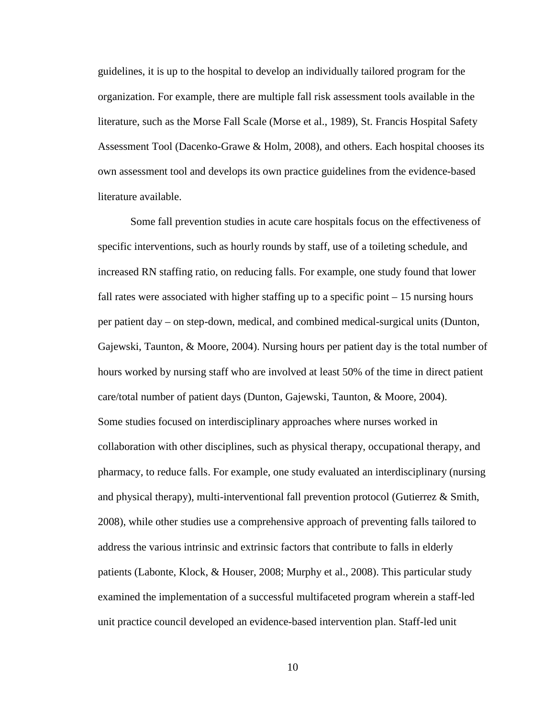guidelines, it is up to the hospital to develop an individually tailored program for the organization. For example, there are multiple fall risk assessment tools available in the literature, such as the Morse Fall Scale (Morse et al., 1989), St. Francis Hospital Safety Assessment Tool (Dacenko-Grawe & Holm, 2008), and others. Each hospital chooses its own assessment tool and develops its own practice guidelines from the evidence-based literature available.

Some fall prevention studies in acute care hospitals focus on the effectiveness of specific interventions, such as hourly rounds by staff, use of a toileting schedule, and increased RN staffing ratio, on reducing falls. For example, one study found that lower fall rates were associated with higher staffing up to a specific point  $-15$  nursing hours per patient day – on step-down, medical, and combined medical-surgical units (Dunton, Gajewski, Taunton, & Moore, 2004). Nursing hours per patient day is the total number of hours worked by nursing staff who are involved at least 50% of the time in direct patient care/total number of patient days (Dunton, Gajewski, Taunton, & Moore, 2004). Some studies focused on interdisciplinary approaches where nurses worked in collaboration with other disciplines, such as physical therapy, occupational therapy, and pharmacy, to reduce falls. For example, one study evaluated an interdisciplinary (nursing and physical therapy), multi-interventional fall prevention protocol (Gutierrez & Smith, 2008), while other studies use a comprehensive approach of preventing falls tailored to address the various intrinsic and extrinsic factors that contribute to falls in elderly patients (Labonte, Klock, & Houser, 2008; Murphy et al., 2008). This particular study examined the implementation of a successful multifaceted program wherein a staff-led unit practice council developed an evidence-based intervention plan. Staff-led unit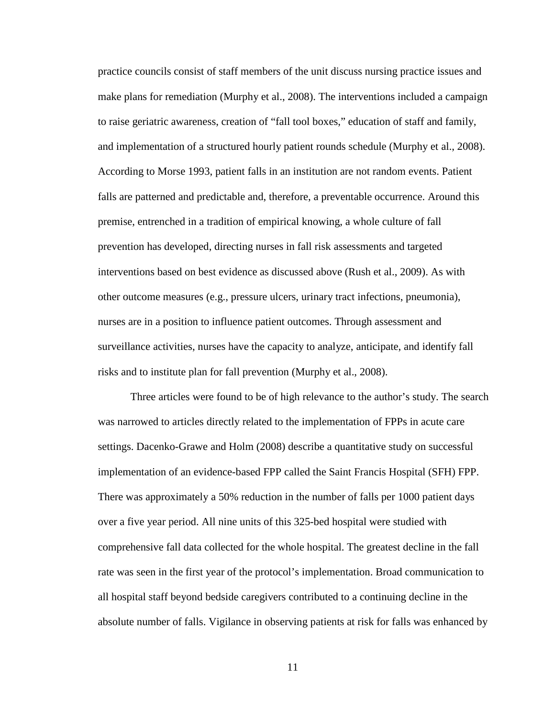practice councils consist of staff members of the unit discuss nursing practice issues and make plans for remediation (Murphy et al., 2008). The interventions included a campaign to raise geriatric awareness, creation of "fall tool boxes," education of staff and family, and implementation of a structured hourly patient rounds schedule (Murphy et al., 2008). According to Morse 1993, patient falls in an institution are not random events. Patient falls are patterned and predictable and, therefore, a preventable occurrence. Around this premise, entrenched in a tradition of empirical knowing, a whole culture of fall prevention has developed, directing nurses in fall risk assessments and targeted interventions based on best evidence as discussed above (Rush et al., 2009). As with other outcome measures (e.g., pressure ulcers, urinary tract infections, pneumonia), nurses are in a position to influence patient outcomes. Through assessment and surveillance activities, nurses have the capacity to analyze, anticipate, and identify fall risks and to institute plan for fall prevention (Murphy et al., 2008).

Three articles were found to be of high relevance to the author's study. The search was narrowed to articles directly related to the implementation of FPPs in acute care settings. Dacenko-Grawe and Holm (2008) describe a quantitative study on successful implementation of an evidence-based FPP called the Saint Francis Hospital (SFH) FPP. There was approximately a 50% reduction in the number of falls per 1000 patient days over a five year period. All nine units of this 325-bed hospital were studied with comprehensive fall data collected for the whole hospital. The greatest decline in the fall rate was seen in the first year of the protocol's implementation. Broad communication to all hospital staff beyond bedside caregivers contributed to a continuing decline in the absolute number of falls. Vigilance in observing patients at risk for falls was enhanced by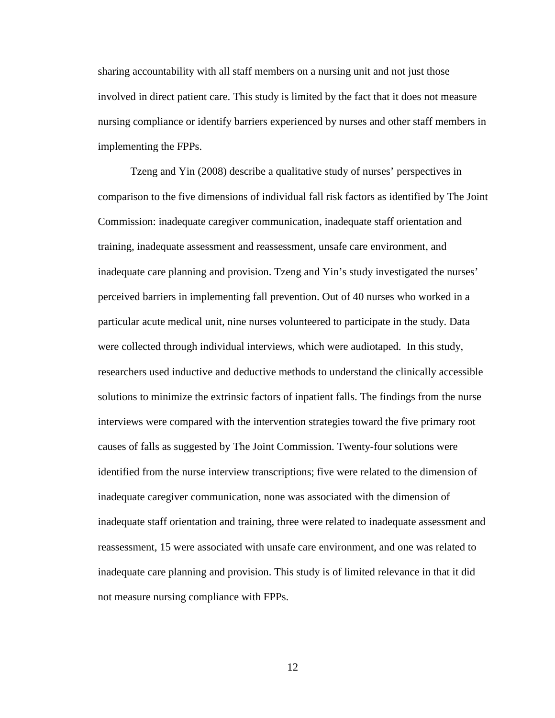sharing accountability with all staff members on a nursing unit and not just those involved in direct patient care. This study is limited by the fact that it does not measure nursing compliance or identify barriers experienced by nurses and other staff members in implementing the FPPs.

Tzeng and Yin (2008) describe a qualitative study of nurses' perspectives in comparison to the five dimensions of individual fall risk factors as identified by The Joint Commission: inadequate caregiver communication, inadequate staff orientation and training, inadequate assessment and reassessment, unsafe care environment, and inadequate care planning and provision. Tzeng and Yin's study investigated the nurses' perceived barriers in implementing fall prevention. Out of 40 nurses who worked in a particular acute medical unit, nine nurses volunteered to participate in the study. Data were collected through individual interviews, which were audiotaped. In this study, researchers used inductive and deductive methods to understand the clinically accessible solutions to minimize the extrinsic factors of inpatient falls. The findings from the nurse interviews were compared with the intervention strategies toward the five primary root causes of falls as suggested by The Joint Commission. Twenty-four solutions were identified from the nurse interview transcriptions; five were related to the dimension of inadequate caregiver communication, none was associated with the dimension of inadequate staff orientation and training, three were related to inadequate assessment and reassessment, 15 were associated with unsafe care environment, and one was related to inadequate care planning and provision. This study is of limited relevance in that it did not measure nursing compliance with FPPs.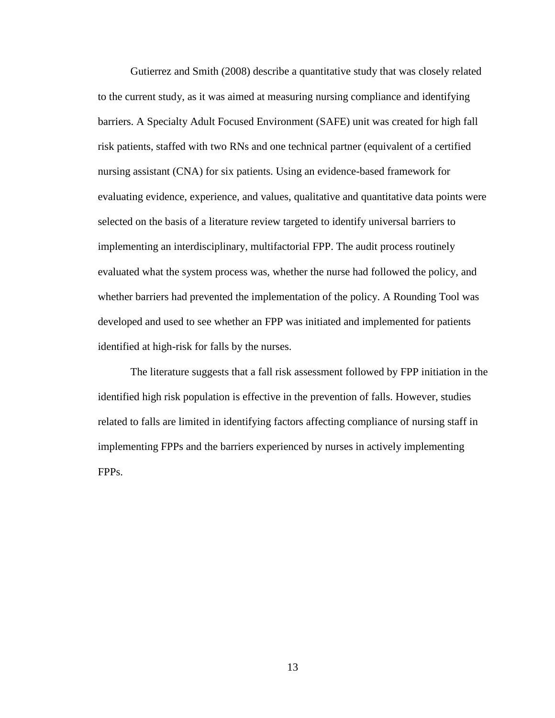Gutierrez and Smith (2008) describe a quantitative study that was closely related to the current study, as it was aimed at measuring nursing compliance and identifying barriers. A Specialty Adult Focused Environment (SAFE) unit was created for high fall risk patients, staffed with two RNs and one technical partner (equivalent of a certified nursing assistant (CNA) for six patients. Using an evidence-based framework for evaluating evidence, experience, and values, qualitative and quantitative data points were selected on the basis of a literature review targeted to identify universal barriers to implementing an interdisciplinary, multifactorial FPP. The audit process routinely evaluated what the system process was, whether the nurse had followed the policy, and whether barriers had prevented the implementation of the policy. A Rounding Tool was developed and used to see whether an FPP was initiated and implemented for patients identified at high-risk for falls by the nurses.

The literature suggests that a fall risk assessment followed by FPP initiation in the identified high risk population is effective in the prevention of falls. However, studies related to falls are limited in identifying factors affecting compliance of nursing staff in implementing FPPs and the barriers experienced by nurses in actively implementing FPPs.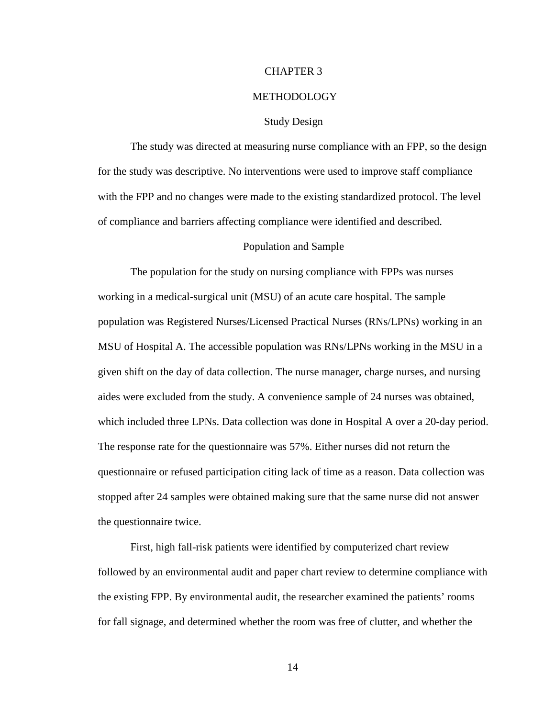#### CHAPTER 3

#### METHODOLOGY

#### Study Design

The study was directed at measuring nurse compliance with an FPP, so the design for the study was descriptive. No interventions were used to improve staff compliance with the FPP and no changes were made to the existing standardized protocol. The level of compliance and barriers affecting compliance were identified and described.

#### Population and Sample

The population for the study on nursing compliance with FPPs was nurses working in a medical-surgical unit (MSU) of an acute care hospital. The sample population was Registered Nurses/Licensed Practical Nurses (RNs/LPNs) working in an MSU of Hospital A. The accessible population was RNs/LPNs working in the MSU in a given shift on the day of data collection. The nurse manager, charge nurses, and nursing aides were excluded from the study. A convenience sample of 24 nurses was obtained, which included three LPNs. Data collection was done in Hospital A over a 20-day period. The response rate for the questionnaire was 57%. Either nurses did not return the questionnaire or refused participation citing lack of time as a reason. Data collection was stopped after 24 samples were obtained making sure that the same nurse did not answer the questionnaire twice.

First, high fall-risk patients were identified by computerized chart review followed by an environmental audit and paper chart review to determine compliance with the existing FPP. By environmental audit, the researcher examined the patients' rooms for fall signage, and determined whether the room was free of clutter, and whether the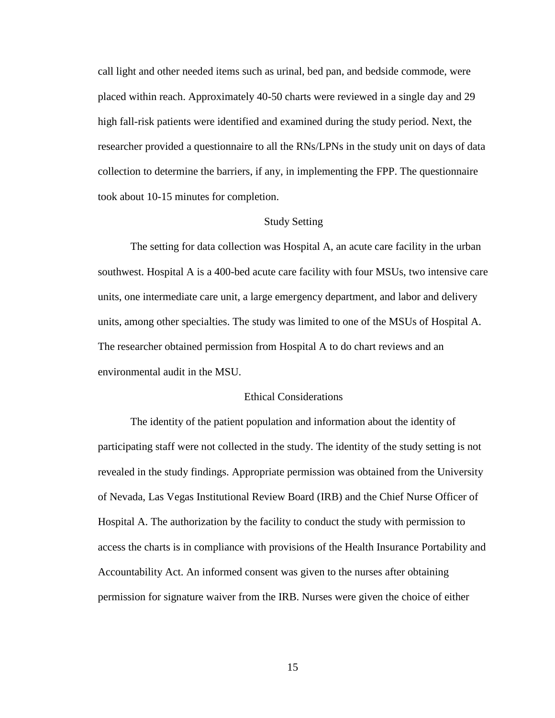call light and other needed items such as urinal, bed pan, and bedside commode, were placed within reach. Approximately 40-50 charts were reviewed in a single day and 29 high fall-risk patients were identified and examined during the study period. Next, the researcher provided a questionnaire to all the RNs/LPNs in the study unit on days of data collection to determine the barriers, if any, in implementing the FPP. The questionnaire took about 10-15 minutes for completion.

#### Study Setting

The setting for data collection was Hospital A, an acute care facility in the urban southwest. Hospital A is a 400-bed acute care facility with four MSUs, two intensive care units, one intermediate care unit, a large emergency department, and labor and delivery units, among other specialties. The study was limited to one of the MSUs of Hospital A. The researcher obtained permission from Hospital A to do chart reviews and an environmental audit in the MSU.

#### Ethical Considerations

The identity of the patient population and information about the identity of participating staff were not collected in the study. The identity of the study setting is not revealed in the study findings. Appropriate permission was obtained from the University of Nevada, Las Vegas Institutional Review Board (IRB) and the Chief Nurse Officer of Hospital A. The authorization by the facility to conduct the study with permission to access the charts is in compliance with provisions of the Health Insurance Portability and Accountability Act. An informed consent was given to the nurses after obtaining permission for signature waiver from the IRB. Nurses were given the choice of either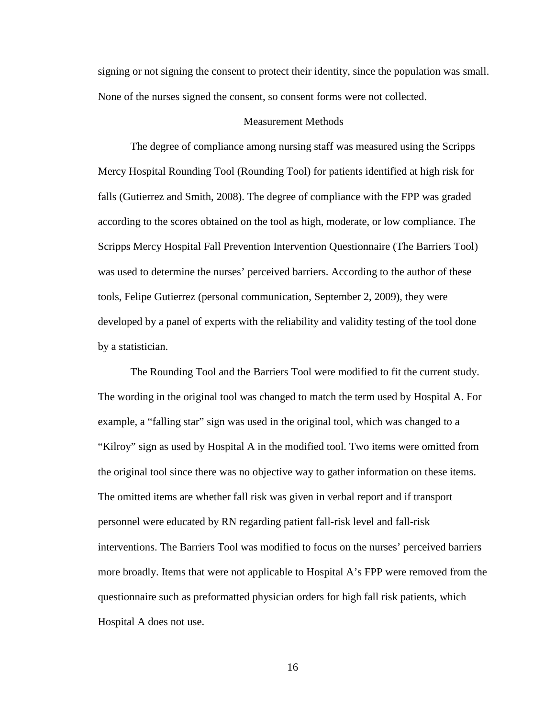signing or not signing the consent to protect their identity, since the population was small. None of the nurses signed the consent, so consent forms were not collected.

#### Measurement Methods

The degree of compliance among nursing staff was measured using the Scripps Mercy Hospital Rounding Tool (Rounding Tool) for patients identified at high risk for falls (Gutierrez and Smith, 2008). The degree of compliance with the FPP was graded according to the scores obtained on the tool as high, moderate, or low compliance. The Scripps Mercy Hospital Fall Prevention Intervention Questionnaire (The Barriers Tool) was used to determine the nurses' perceived barriers. According to the author of these tools, Felipe Gutierrez (personal communication, September 2, 2009), they were developed by a panel of experts with the reliability and validity testing of the tool done by a statistician.

The Rounding Tool and the Barriers Tool were modified to fit the current study. The wording in the original tool was changed to match the term used by Hospital A. For example, a "falling star" sign was used in the original tool, which was changed to a "Kilroy" sign as used by Hospital A in the modified tool. Two items were omitted from the original tool since there was no objective way to gather information on these items. The omitted items are whether fall risk was given in verbal report and if transport personnel were educated by RN regarding patient fall-risk level and fall-risk interventions. The Barriers Tool was modified to focus on the nurses' perceived barriers more broadly. Items that were not applicable to Hospital A's FPP were removed from the questionnaire such as preformatted physician orders for high fall risk patients, which Hospital A does not use.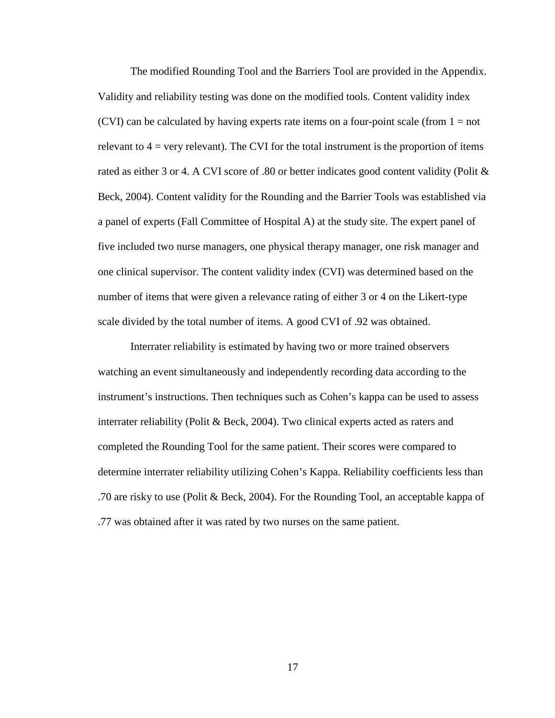The modified Rounding Tool and the Barriers Tool are provided in the Appendix. Validity and reliability testing was done on the modified tools. Content validity index (CVI) can be calculated by having experts rate items on a four-point scale (from  $1 = not$ ) relevant to  $4 = \text{very relevant}$ . The CVI for the total instrument is the proportion of items rated as either 3 or 4. A CVI score of .80 or better indicates good content validity (Polit & Beck, 2004). Content validity for the Rounding and the Barrier Tools was established via a panel of experts (Fall Committee of Hospital A) at the study site. The expert panel of five included two nurse managers, one physical therapy manager, one risk manager and one clinical supervisor. The content validity index (CVI) was determined based on the number of items that were given a relevance rating of either 3 or 4 on the Likert-type scale divided by the total number of items. A good CVI of .92 was obtained.

Interrater reliability is estimated by having two or more trained observers watching an event simultaneously and independently recording data according to the instrument's instructions. Then techniques such as Cohen's kappa can be used to assess interrater reliability (Polit & Beck, 2004). Two clinical experts acted as raters and completed the Rounding Tool for the same patient. Their scores were compared to determine interrater reliability utilizing Cohen's Kappa. Reliability coefficients less than .70 are risky to use (Polit & Beck, 2004). For the Rounding Tool, an acceptable kappa of .77 was obtained after it was rated by two nurses on the same patient.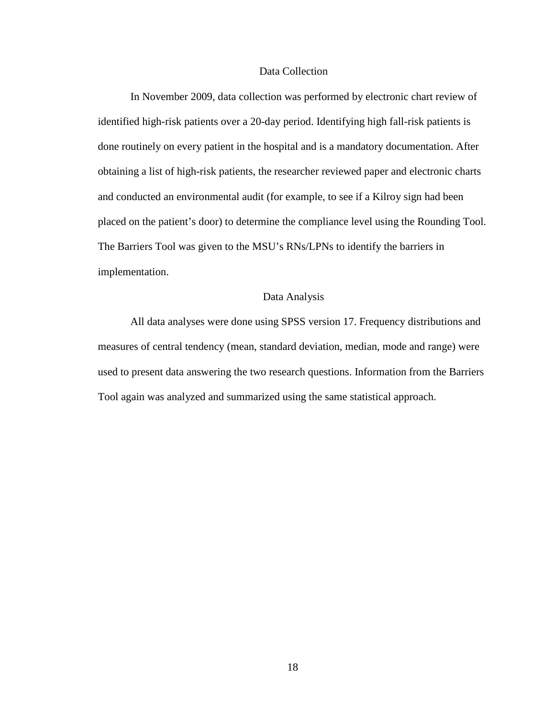#### Data Collection

In November 2009, data collection was performed by electronic chart review of identified high-risk patients over a 20-day period. Identifying high fall-risk patients is done routinely on every patient in the hospital and is a mandatory documentation. After obtaining a list of high-risk patients, the researcher reviewed paper and electronic charts and conducted an environmental audit (for example, to see if a Kilroy sign had been placed on the patient's door) to determine the compliance level using the Rounding Tool. The Barriers Tool was given to the MSU's RNs/LPNs to identify the barriers in implementation.

#### Data Analysis

All data analyses were done using SPSS version 17. Frequency distributions and measures of central tendency (mean, standard deviation, median, mode and range) were used to present data answering the two research questions. Information from the Barriers Tool again was analyzed and summarized using the same statistical approach.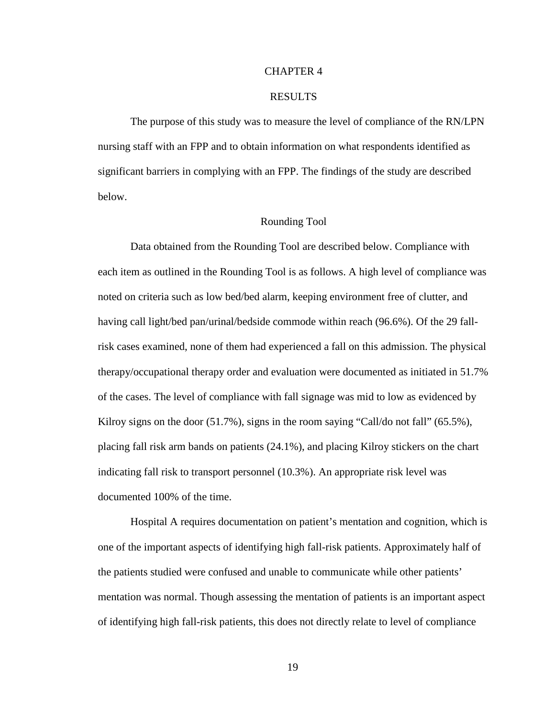#### CHAPTER 4

#### RESULTS

 The purpose of this study was to measure the level of compliance of the RN/LPN nursing staff with an FPP and to obtain information on what respondents identified as significant barriers in complying with an FPP. The findings of the study are described below.

#### Rounding Tool

Data obtained from the Rounding Tool are described below. Compliance with each item as outlined in the Rounding Tool is as follows. A high level of compliance was noted on criteria such as low bed/bed alarm, keeping environment free of clutter, and having call light/bed pan/urinal/bedside commode within reach (96.6%). Of the 29 fallrisk cases examined, none of them had experienced a fall on this admission. The physical therapy/occupational therapy order and evaluation were documented as initiated in 51.7% of the cases. The level of compliance with fall signage was mid to low as evidenced by Kilroy signs on the door  $(51.7\%)$ , signs in the room saying "Call/do not fall"  $(65.5\%)$ , placing fall risk arm bands on patients (24.1%), and placing Kilroy stickers on the chart indicating fall risk to transport personnel (10.3%). An appropriate risk level was documented 100% of the time.

Hospital A requires documentation on patient's mentation and cognition, which is one of the important aspects of identifying high fall-risk patients. Approximately half of the patients studied were confused and unable to communicate while other patients' mentation was normal. Though assessing the mentation of patients is an important aspect of identifying high fall-risk patients, this does not directly relate to level of compliance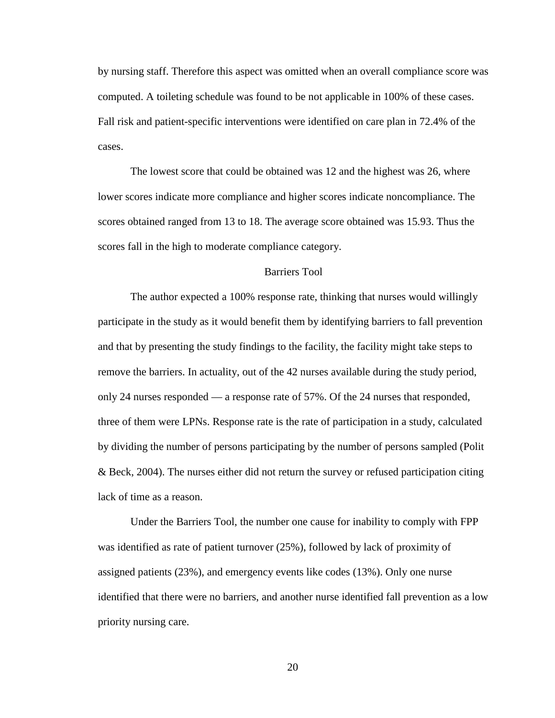by nursing staff. Therefore this aspect was omitted when an overall compliance score was computed. A toileting schedule was found to be not applicable in 100% of these cases. Fall risk and patient-specific interventions were identified on care plan in 72.4% of the cases.

The lowest score that could be obtained was 12 and the highest was 26, where lower scores indicate more compliance and higher scores indicate noncompliance. The scores obtained ranged from 13 to 18. The average score obtained was 15.93. Thus the scores fall in the high to moderate compliance category.

#### Barriers Tool

The author expected a 100% response rate, thinking that nurses would willingly participate in the study as it would benefit them by identifying barriers to fall prevention and that by presenting the study findings to the facility, the facility might take steps to remove the barriers. In actuality, out of the 42 nurses available during the study period, only 24 nurses responded — a response rate of 57%. Of the 24 nurses that responded, three of them were LPNs. Response rate is the rate of participation in a study, calculated by dividing the number of persons participating by the number of persons sampled (Polit & Beck, 2004). The nurses either did not return the survey or refused participation citing lack of time as a reason.

Under the Barriers Tool, the number one cause for inability to comply with FPP was identified as rate of patient turnover (25%), followed by lack of proximity of assigned patients (23%), and emergency events like codes (13%). Only one nurse identified that there were no barriers, and another nurse identified fall prevention as a low priority nursing care.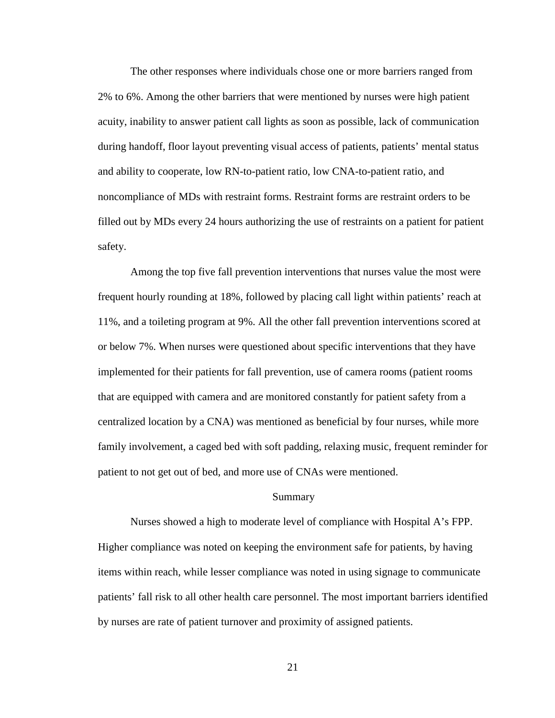The other responses where individuals chose one or more barriers ranged from 2% to 6%. Among the other barriers that were mentioned by nurses were high patient acuity, inability to answer patient call lights as soon as possible, lack of communication during handoff, floor layout preventing visual access of patients, patients' mental status and ability to cooperate, low RN-to-patient ratio, low CNA-to-patient ratio, and noncompliance of MDs with restraint forms. Restraint forms are restraint orders to be filled out by MDs every 24 hours authorizing the use of restraints on a patient for patient safety.

Among the top five fall prevention interventions that nurses value the most were frequent hourly rounding at 18%, followed by placing call light within patients' reach at 11%, and a toileting program at 9%. All the other fall prevention interventions scored at or below 7%. When nurses were questioned about specific interventions that they have implemented for their patients for fall prevention, use of camera rooms (patient rooms that are equipped with camera and are monitored constantly for patient safety from a centralized location by a CNA) was mentioned as beneficial by four nurses, while more family involvement, a caged bed with soft padding, relaxing music, frequent reminder for patient to not get out of bed, and more use of CNAs were mentioned.

#### Summary

Nurses showed a high to moderate level of compliance with Hospital A's FPP. Higher compliance was noted on keeping the environment safe for patients, by having items within reach, while lesser compliance was noted in using signage to communicate patients' fall risk to all other health care personnel. The most important barriers identified by nurses are rate of patient turnover and proximity of assigned patients.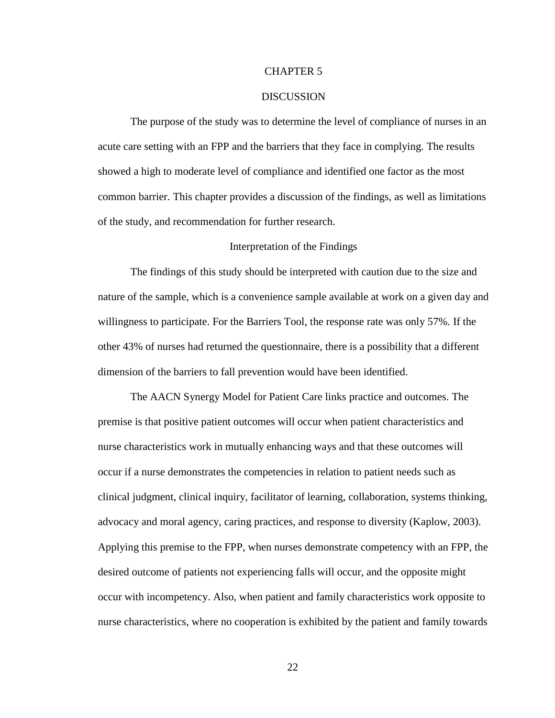#### CHAPTER 5

#### **DISCUSSION**

 The purpose of the study was to determine the level of compliance of nurses in an acute care setting with an FPP and the barriers that they face in complying. The results showed a high to moderate level of compliance and identified one factor as the most common barrier. This chapter provides a discussion of the findings, as well as limitations of the study, and recommendation for further research.

#### Interpretation of the Findings

 The findings of this study should be interpreted with caution due to the size and nature of the sample, which is a convenience sample available at work on a given day and willingness to participate. For the Barriers Tool, the response rate was only 57%. If the other 43% of nurses had returned the questionnaire, there is a possibility that a different dimension of the barriers to fall prevention would have been identified.

The AACN Synergy Model for Patient Care links practice and outcomes. The premise is that positive patient outcomes will occur when patient characteristics and nurse characteristics work in mutually enhancing ways and that these outcomes will occur if a nurse demonstrates the competencies in relation to patient needs such as clinical judgment, clinical inquiry, facilitator of learning, collaboration, systems thinking, advocacy and moral agency, caring practices, and response to diversity (Kaplow, 2003). Applying this premise to the FPP, when nurses demonstrate competency with an FPP, the desired outcome of patients not experiencing falls will occur, and the opposite might occur with incompetency. Also, when patient and family characteristics work opposite to nurse characteristics, where no cooperation is exhibited by the patient and family towards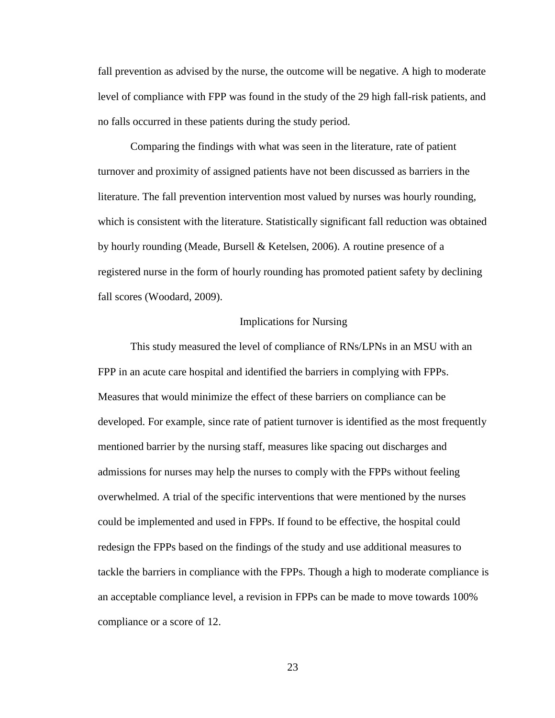fall prevention as advised by the nurse, the outcome will be negative. A high to moderate level of compliance with FPP was found in the study of the 29 high fall-risk patients, and no falls occurred in these patients during the study period.

Comparing the findings with what was seen in the literature, rate of patient turnover and proximity of assigned patients have not been discussed as barriers in the literature. The fall prevention intervention most valued by nurses was hourly rounding, which is consistent with the literature. Statistically significant fall reduction was obtained by hourly rounding (Meade, Bursell & Ketelsen, 2006). A routine presence of a registered nurse in the form of hourly rounding has promoted patient safety by declining fall scores (Woodard, 2009).

#### Implications for Nursing

This study measured the level of compliance of RNs/LPNs in an MSU with an FPP in an acute care hospital and identified the barriers in complying with FPPs. Measures that would minimize the effect of these barriers on compliance can be developed. For example, since rate of patient turnover is identified as the most frequently mentioned barrier by the nursing staff, measures like spacing out discharges and admissions for nurses may help the nurses to comply with the FPPs without feeling overwhelmed. A trial of the specific interventions that were mentioned by the nurses could be implemented and used in FPPs. If found to be effective, the hospital could redesign the FPPs based on the findings of the study and use additional measures to tackle the barriers in compliance with the FPPs. Though a high to moderate compliance is an acceptable compliance level, a revision in FPPs can be made to move towards 100% compliance or a score of 12.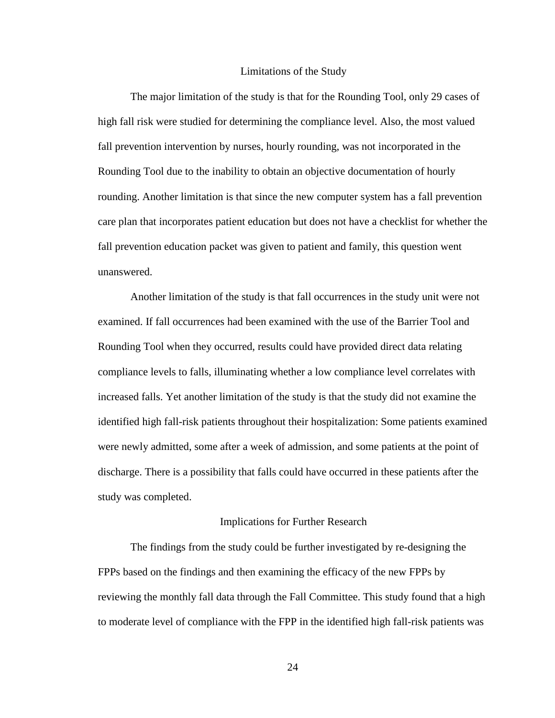#### Limitations of the Study

The major limitation of the study is that for the Rounding Tool, only 29 cases of high fall risk were studied for determining the compliance level. Also, the most valued fall prevention intervention by nurses, hourly rounding, was not incorporated in the Rounding Tool due to the inability to obtain an objective documentation of hourly rounding. Another limitation is that since the new computer system has a fall prevention care plan that incorporates patient education but does not have a checklist for whether the fall prevention education packet was given to patient and family, this question went unanswered.

Another limitation of the study is that fall occurrences in the study unit were not examined. If fall occurrences had been examined with the use of the Barrier Tool and Rounding Tool when they occurred, results could have provided direct data relating compliance levels to falls, illuminating whether a low compliance level correlates with increased falls. Yet another limitation of the study is that the study did not examine the identified high fall-risk patients throughout their hospitalization: Some patients examined were newly admitted, some after a week of admission, and some patients at the point of discharge. There is a possibility that falls could have occurred in these patients after the study was completed.

#### Implications for Further Research

 The findings from the study could be further investigated by re-designing the FPPs based on the findings and then examining the efficacy of the new FPPs by reviewing the monthly fall data through the Fall Committee. This study found that a high to moderate level of compliance with the FPP in the identified high fall-risk patients was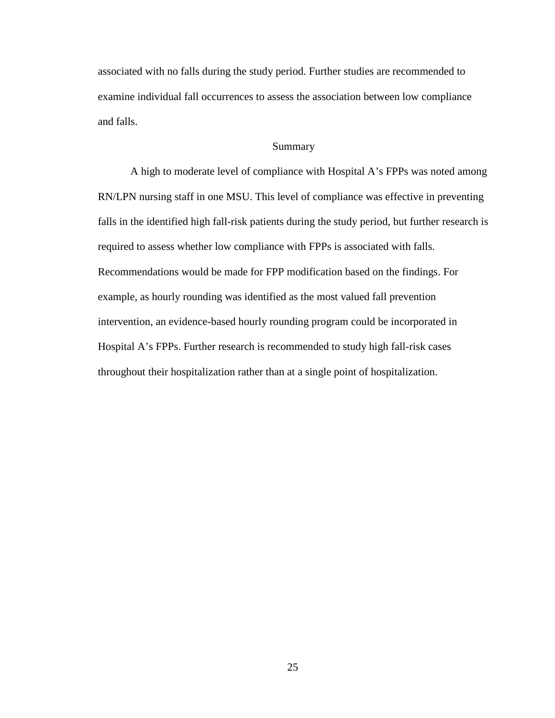associated with no falls during the study period. Further studies are recommended to examine individual fall occurrences to assess the association between low compliance and falls.

#### Summary

A high to moderate level of compliance with Hospital A's FPPs was noted among RN/LPN nursing staff in one MSU. This level of compliance was effective in preventing falls in the identified high fall-risk patients during the study period, but further research is required to assess whether low compliance with FPPs is associated with falls. Recommendations would be made for FPP modification based on the findings. For example, as hourly rounding was identified as the most valued fall prevention intervention, an evidence-based hourly rounding program could be incorporated in Hospital A's FPPs. Further research is recommended to study high fall-risk cases throughout their hospitalization rather than at a single point of hospitalization.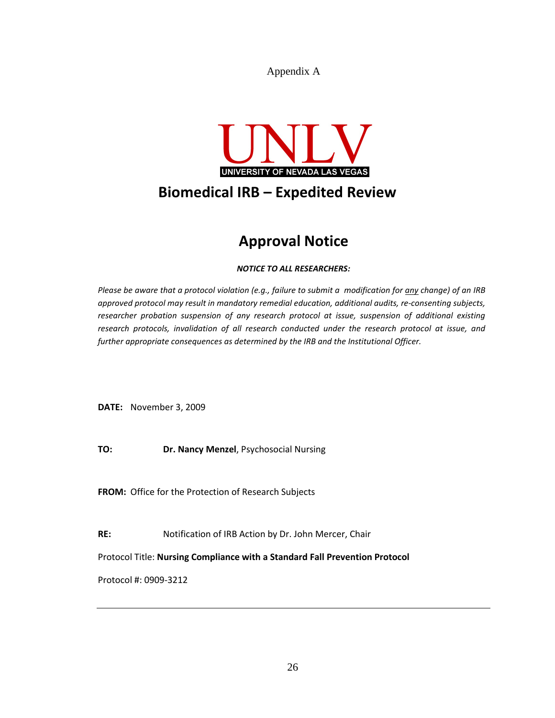Appendix A



# Approval Notice

#### NOTICE TO ALL RESEARCHERS:

Please be aware that a protocol violation (e.g., failure to submit a modification for any change) of an IRB approved protocol may result in mandatory remedial education, additional audits, re-consenting subjects, researcher probation suspension of any research protocol at issue, suspension of additional existing research protocols, invalidation of all research conducted under the research protocol at issue, and further appropriate consequences as determined by the IRB and the Institutional Officer.

DATE: November 3, 2009

TO: Dr. Nancy Menzel, Psychosocial Nursing

FROM: Office for the Protection of Research Subjects

RE: Notification of IRB Action by Dr. John Mercer, Chair

Protocol Title: Nursing Compliance with a Standard Fall Prevention Protocol

Protocol #: 0909-3212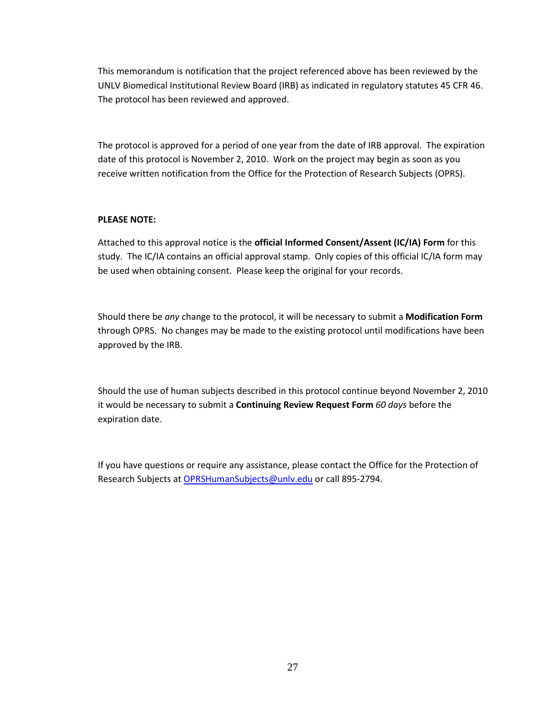This memorandum is notification that the project referenced above has been reviewed by the UNLV Biomedical Institutional Review Board (IRB) as indicated in regulatory statutes 45 CFR 46. The protocol has been reviewed and approved.

The protocol is approved for a period of one year from the date of IRB approval. The expiration date of this protocol is November 2, 2010. Work on the project may begin as soon as you receive written notification from the Office for the Protection of Research Subjects (OPRS).

#### PLEASE NOTE:

Attached to this approval notice is the official Informed Consent/Assent (IC/IA) Form for this study. The IC/IA contains an official approval stamp. Only copies of this official IC/IA form may be used when obtaining consent. Please keep the original for your records.

Should there be any change to the protocol, it will be necessary to submit a Modification Form through OPRS. No changes may be made to the existing protocol until modifications have been approved by the IRB.

Should the use of human subjects described in this protocol continue beyond November 2, 2010 it would be necessary to submit a Continuing Review Request Form 60 days before the expiration date.

If you have questions or require any assistance, please contact the Office for the Protection of Research Subjects at OPRSHumanSubjects@unlv.edu or call 895-2794.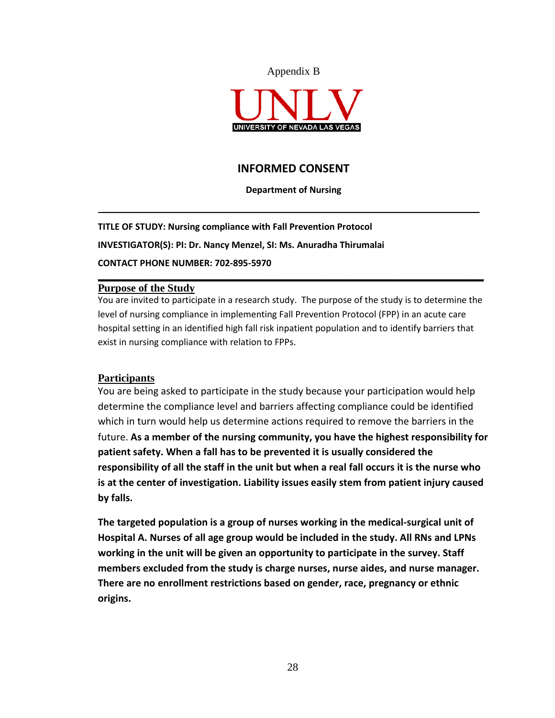



#### INFORMED CONSENT

#### Department of Nursing

 $\mathcal{L}_\mathcal{L} = \mathcal{L}_\mathcal{L} = \mathcal{L}_\mathcal{L} = \mathcal{L}_\mathcal{L} = \mathcal{L}_\mathcal{L} = \mathcal{L}_\mathcal{L} = \mathcal{L}_\mathcal{L} = \mathcal{L}_\mathcal{L} = \mathcal{L}_\mathcal{L} = \mathcal{L}_\mathcal{L} = \mathcal{L}_\mathcal{L} = \mathcal{L}_\mathcal{L} = \mathcal{L}_\mathcal{L} = \mathcal{L}_\mathcal{L} = \mathcal{L}_\mathcal{L} = \mathcal{L}_\mathcal{L} = \mathcal{L}_\mathcal{L}$ 

TITLE OF STUDY: Nursing compliance with Fall Prevention Protocol INVESTIGATOR(S): PI: Dr. Nancy Menzel, SI: Ms. Anuradha Thirumalai CONTACT PHONE NUMBER: 702-895-5970

#### **Purpose of the Study**

You are invited to participate in a research study. The purpose of the study is to determine the level of nursing compliance in implementing Fall Prevention Protocol (FPP) in an acute care hospital setting in an identified high fall risk inpatient population and to identify barriers that exist in nursing compliance with relation to FPPs.

**\_\_\_\_\_\_\_\_\_\_\_\_\_\_\_\_\_\_\_\_\_\_\_\_\_\_\_\_\_\_\_\_\_\_\_\_\_\_\_\_\_\_\_\_\_\_\_\_\_\_\_\_\_\_\_\_\_\_\_\_\_\_\_\_\_\_\_\_\_\_\_**

#### **Participants**

You are being asked to participate in the study because your participation would help determine the compliance level and barriers affecting compliance could be identified which in turn would help us determine actions required to remove the barriers in the future. As a member of the nursing community, you have the highest responsibility for patient safety. When a fall has to be prevented it is usually considered the responsibility of all the staff in the unit but when a real fall occurs it is the nurse who is at the center of investigation. Liability issues easily stem from patient injury caused by falls.

The targeted population is a group of nurses working in the medical-surgical unit of Hospital A. Nurses of all age group would be included in the study. All RNs and LPNs working in the unit will be given an opportunity to participate in the survey. Staff members excluded from the study is charge nurses, nurse aides, and nurse manager. There are no enrollment restrictions based on gender, race, pregnancy or ethnic origins.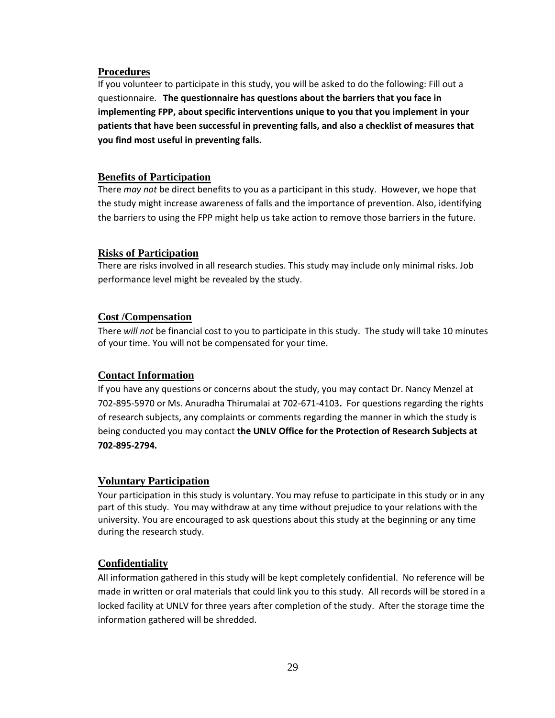#### **Procedures**

If you volunteer to participate in this study, you will be asked to do the following: Fill out a questionnaire. The questionnaire has questions about the barriers that you face in implementing FPP, about specific interventions unique to you that you implement in your patients that have been successful in preventing falls, and also a checklist of measures that you find most useful in preventing falls.

#### **Benefits of Participation**

There may not be direct benefits to you as a participant in this study. However, we hope that the study might increase awareness of falls and the importance of prevention. Also, identifying the barriers to using the FPP might help us take action to remove those barriers in the future.

#### **Risks of Participation**

There are risks involved in all research studies. This study may include only minimal risks. Job performance level might be revealed by the study.

#### **Cost /Compensation**

There will not be financial cost to you to participate in this study. The study will take 10 minutes of your time. You will not be compensated for your time.

#### **Contact Information**

If you have any questions or concerns about the study, you may contact Dr. Nancy Menzel at 702-895-5970 or Ms. Anuradha Thirumalai at 702-671-4103. For questions regarding the rights of research subjects, any complaints or comments regarding the manner in which the study is being conducted you may contact the UNLV Office for the Protection of Research Subjects at 702-895-2794.

#### **Voluntary Participation**

Your participation in this study is voluntary. You may refuse to participate in this study or in any part of this study. You may withdraw at any time without prejudice to your relations with the university. You are encouraged to ask questions about this study at the beginning or any time during the research study.

#### **Confidentiality**

All information gathered in this study will be kept completely confidential. No reference will be made in written or oral materials that could link you to this study. All records will be stored in a locked facility at UNLV for three years after completion of the study. After the storage time the information gathered will be shredded.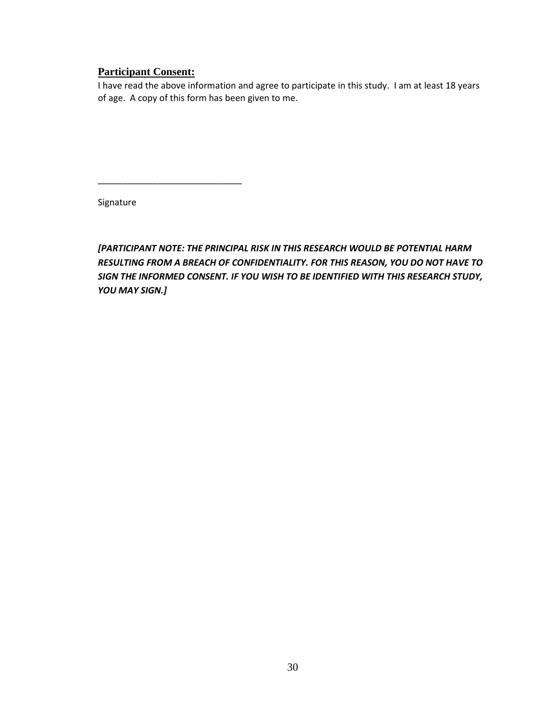#### **Participant Consent:**

\_\_\_\_\_\_\_\_\_\_\_\_\_\_\_\_\_\_\_\_\_\_\_\_\_\_\_\_\_

I have read the above information and agree to participate in this study. I am at least 18 years of age. A copy of this form has been given to me.

Signature

[PARTICIPANT NOTE: THE PRINCIPAL RISK IN THIS RESEARCH WOULD BE POTENTIAL HARM RESULTING FROM A BREACH OF CONFIDENTIALITY. FOR THIS REASON, YOU DO NOT HAVE TO SIGN THE INFORMED CONSENT. IF YOU WISH TO BE IDENTIFIED WITH THIS RESEARCH STUDY, YOU MAY SIGN.]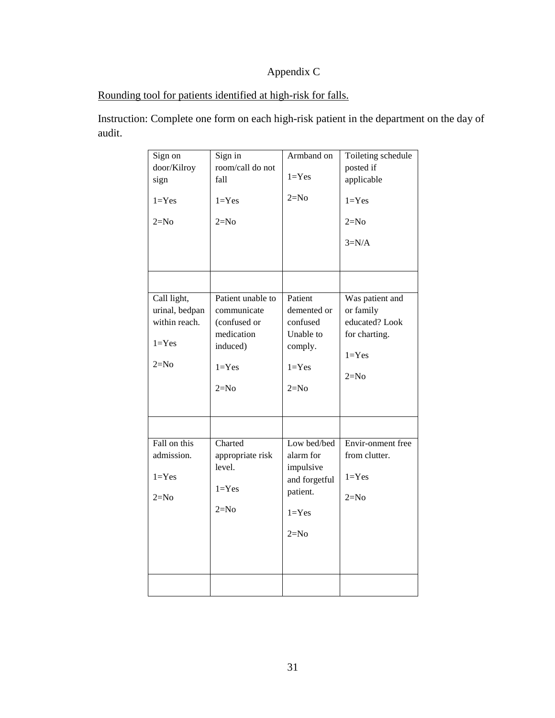# Appendix C

# Rounding tool for patients identified at high-risk for falls.

Instruction: Complete one form on each high-risk patient in the department on the day of audit.

| Sign on<br>door/Kilroy<br>sign<br>$1 = Yes$<br>$2=N0$                 | Sign in<br>room/call do not<br>fall<br>$1 = Yes$<br>$2=N0$                                        | Armband on<br>$1 = Yes$<br>$2=N0$                                                         | Toileting schedule<br>posted if<br>applicable<br>$1 = Yes$<br>$2=N0$<br>$3=N/A$        |
|-----------------------------------------------------------------------|---------------------------------------------------------------------------------------------------|-------------------------------------------------------------------------------------------|----------------------------------------------------------------------------------------|
|                                                                       |                                                                                                   |                                                                                           |                                                                                        |
| Call light,<br>urinal, bedpan<br>within reach.<br>$1 = Yes$<br>$2=N0$ | Patient unable to<br>communicate<br>(confused or<br>medication<br>induced)<br>$1 = Yes$<br>$2=N0$ | Patient<br>demented or<br>confused<br>Unable to<br>comply.<br>$1 = Yes$<br>$2=N0$         | Was patient and<br>or family<br>educated? Look<br>for charting.<br>$1 = Yes$<br>$2=N0$ |
|                                                                       |                                                                                                   |                                                                                           |                                                                                        |
| Fall on this<br>admission.<br>$1 = Yes$<br>$2=N0$                     | Charted<br>appropriate risk<br>level.<br>$1 = Yes$<br>$2=N0$                                      | Low bed/bed<br>alarm for<br>impulsive<br>and forgetful<br>patient.<br>$1 = Yes$<br>$2=N0$ | Envir-onment free<br>from clutter.<br>$1 = Yes$<br>$2=N0$                              |
|                                                                       |                                                                                                   |                                                                                           |                                                                                        |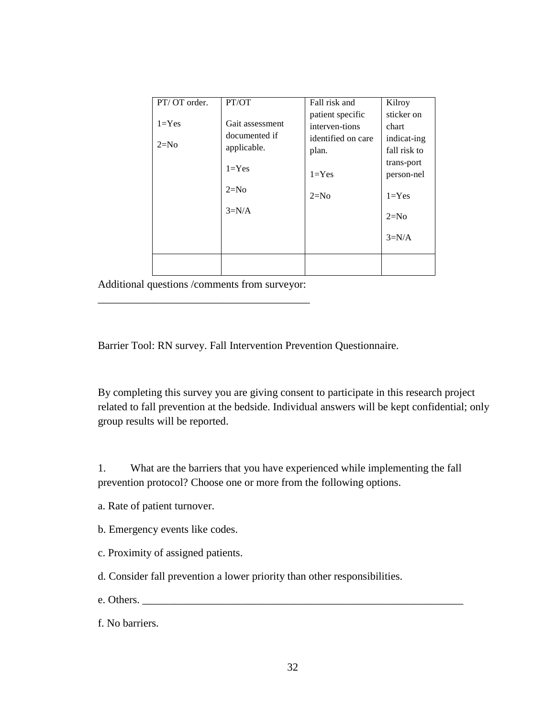| PT/OT order.  | PT/OT           | Fall risk and      | Kilroy       |
|---------------|-----------------|--------------------|--------------|
|               |                 | patient specific   | sticker on   |
| $1 = Yes$     | Gait assessment | interven-tions     | chart        |
| documented if |                 | identified on care | indicat-ing  |
| $2=N0$        | applicable.     | plan.              | fall risk to |
| $1 = Yes$     |                 | trans-port         |              |
|               |                 | $1 = Yes$          | person-nel   |
|               | $2=N0$          | $2=N0$             | $1 = Yes$    |
|               | $3=N/A$         |                    | $2=N0$       |
|               |                 |                    | $3=N/A$      |
|               |                 |                    |              |

Additional questions /comments from surveyor: \_\_\_\_\_\_\_\_\_\_\_\_\_\_\_\_\_\_\_\_\_\_\_\_\_\_\_\_\_\_\_\_\_\_\_\_\_\_\_

Barrier Tool: RN survey. Fall Intervention Prevention Questionnaire.

By completing this survey you are giving consent to participate in this research project related to fall prevention at the bedside. Individual answers will be kept confidential; only group results will be reported.

1. What are the barriers that you have experienced while implementing the fall prevention protocol? Choose one or more from the following options.

- a. Rate of patient turnover.
- b. Emergency events like codes.
- c. Proximity of assigned patients.
- d. Consider fall prevention a lower priority than other responsibilities.
- e. Others.
- f. No barriers.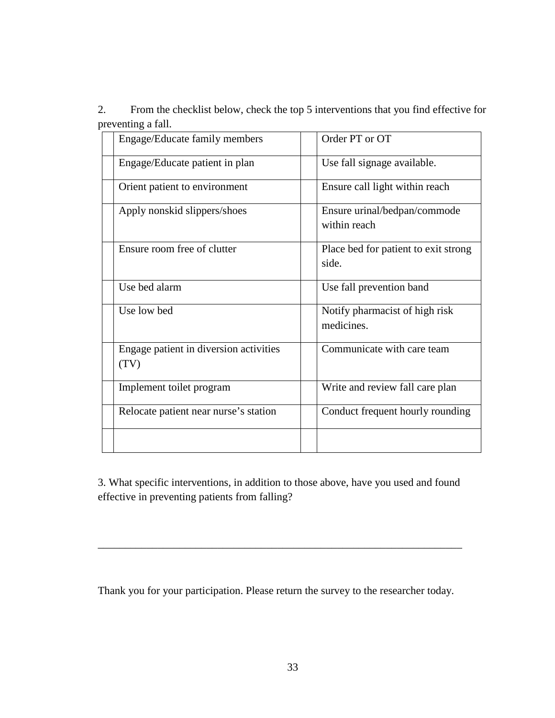2. From the checklist below, check the top 5 interventions that you find effective for preventing a fall.

| Engage/Educate family members                  | Order PT or OT                                |
|------------------------------------------------|-----------------------------------------------|
| Engage/Educate patient in plan                 | Use fall signage available.                   |
| Orient patient to environment                  | Ensure call light within reach                |
| Apply nonskid slippers/shoes                   | Ensure urinal/bedpan/commode<br>within reach  |
| Ensure room free of clutter                    | Place bed for patient to exit strong<br>side. |
| Use bed alarm                                  | Use fall prevention band                      |
| Use low bed                                    | Notify pharmacist of high risk<br>medicines.  |
| Engage patient in diversion activities<br>(TV) | Communicate with care team                    |
| Implement toilet program                       | Write and review fall care plan               |
| Relocate patient near nurse's station          | Conduct frequent hourly rounding              |
|                                                |                                               |

3. What specific interventions, in addition to those above, have you used and found effective in preventing patients from falling?

\_\_\_\_\_\_\_\_\_\_\_\_\_\_\_\_\_\_\_\_\_\_\_\_\_\_\_\_\_\_\_\_\_\_\_\_\_\_\_\_\_\_\_\_\_\_\_\_\_\_\_\_\_\_\_\_\_\_\_\_\_\_\_\_\_\_\_

Thank you for your participation. Please return the survey to the researcher today.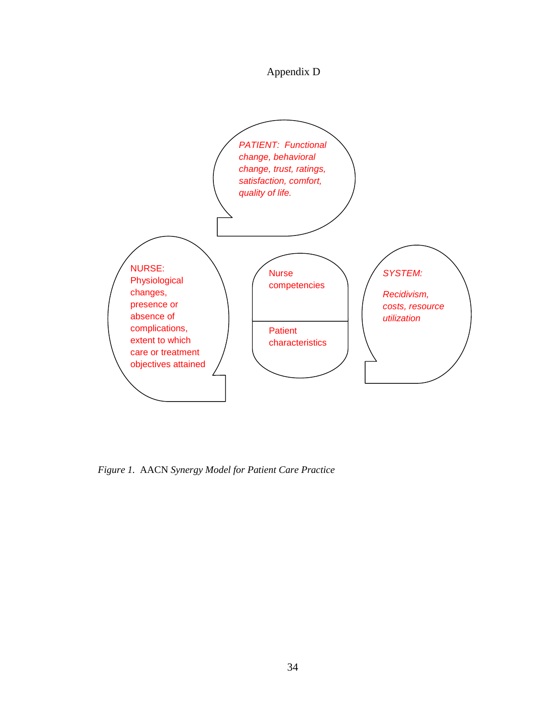Appendix D



*Figure 1.* AACN *Synergy Model for Patient Care Practice*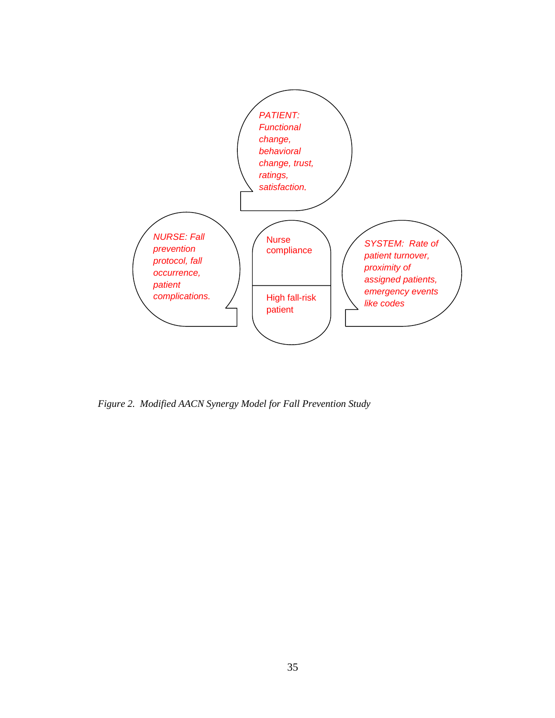

*Figure 2. Modified AACN Synergy Model for Fall Prevention Study*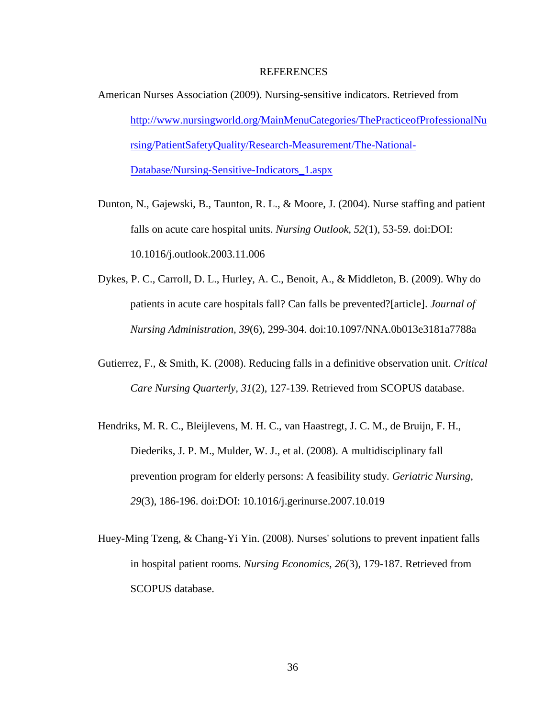#### REFERENCES

- American Nurses Association (2009). Nursing-sensitive indicators. Retrieved from http://www.nursingworld.org/MainMenuCategories/ThePracticeofProfessionalNu rsing/PatientSafetyQuality/Research-Measurement/The-National-Database/Nursing-Sensitive-Indicators\_1.aspx
- Dunton, N., Gajewski, B., Taunton, R. L., & Moore, J. (2004). Nurse staffing and patient falls on acute care hospital units. *Nursing Outlook, 52*(1), 53-59. doi:DOI: 10.1016/j.outlook.2003.11.006
- Dykes, P. C., Carroll, D. L., Hurley, A. C., Benoit, A., & Middleton, B. (2009). Why do patients in acute care hospitals fall? Can falls be prevented?[article]. *Journal of Nursing Administration, 39*(6), 299-304. doi:10.1097/NNA.0b013e3181a7788a
- Gutierrez, F., & Smith, K. (2008). Reducing falls in a definitive observation unit. *Critical Care Nursing Quarterly, 31*(2), 127-139. Retrieved from SCOPUS database.
- Hendriks, M. R. C., Bleijlevens, M. H. C., van Haastregt, J. C. M., de Bruijn, F. H., Diederiks, J. P. M., Mulder, W. J., et al. (2008). A multidisciplinary fall prevention program for elderly persons: A feasibility study. *Geriatric Nursing, 29*(3), 186-196. doi:DOI: 10.1016/j.gerinurse.2007.10.019
- Huey-Ming Tzeng, & Chang-Yi Yin. (2008). Nurses' solutions to prevent inpatient falls in hospital patient rooms. *Nursing Economics, 26*(3), 179-187. Retrieved from SCOPUS database.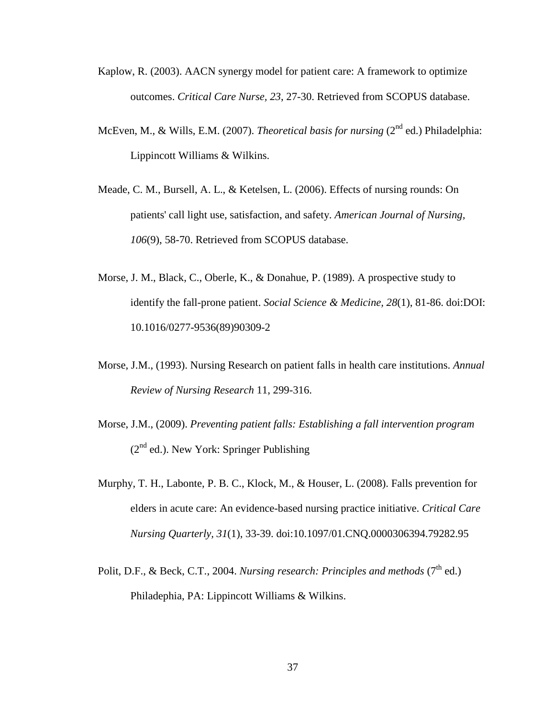- Kaplow, R. (2003). AACN synergy model for patient care: A framework to optimize outcomes. *Critical Care Nurse, 23*, 27-30. Retrieved from SCOPUS database.
- McEven, M., & Wills, E.M. (2007). *Theoretical basis for nursing* (2<sup>nd</sup> ed.) Philadelphia: Lippincott Williams & Wilkins.
- Meade, C. M., Bursell, A. L., & Ketelsen, L. (2006). Effects of nursing rounds: On patients' call light use, satisfaction, and safety. *American Journal of Nursing, 106*(9), 58-70. Retrieved from SCOPUS database.
- Morse, J. M., Black, C., Oberle, K., & Donahue, P. (1989). A prospective study to identify the fall-prone patient. *Social Science & Medicine, 28*(1), 81-86. doi:DOI: 10.1016/0277-9536(89)90309-2
- Morse, J.M., (1993). Nursing Research on patient falls in health care institutions. *Annual Review of Nursing Research* 11, 299-316.
- Morse, J.M., (2009). *Preventing patient falls: Establishing a fall intervention program*   $(2<sup>nd</sup>$  ed.). New York: Springer Publishing
- Murphy, T. H., Labonte, P. B. C., Klock, M., & Houser, L. (2008). Falls prevention for elders in acute care: An evidence-based nursing practice initiative. *Critical Care Nursing Quarterly, 31*(1), 33-39. doi:10.1097/01.CNQ.0000306394.79282.95
- Polit, D.F., & Beck, C.T., 2004. *Nursing research: Principles and methods* (7<sup>th</sup> ed.) Philadephia, PA: Lippincott Williams & Wilkins.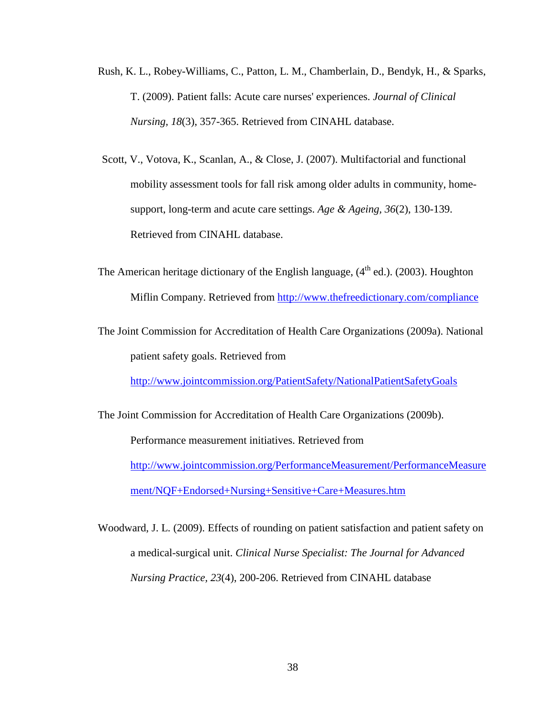- Rush, K. L., Robey-Williams, C., Patton, L. M., Chamberlain, D., Bendyk, H., & Sparks, T. (2009). Patient falls: Acute care nurses' experiences. *Journal of Clinical Nursing, 18*(3), 357-365. Retrieved from CINAHL database.
- Scott, V., Votova, K., Scanlan, A., & Close, J. (2007). Multifactorial and functional mobility assessment tools for fall risk among older adults in community, homesupport, long-term and acute care settings. *Age & Ageing, 36*(2), 130-139. Retrieved from CINAHL database.
- The American heritage dictionary of the English language,  $(4<sup>th</sup>$  ed.). (2003). Houghton Miflin Company. Retrieved from http://www.thefreedictionary.com/compliance
- The Joint Commission for Accreditation of Health Care Organizations (2009a). National patient safety goals. Retrieved from

http://www.jointcommission.org/PatientSafety/NationalPatientSafetyGoals

The Joint Commission for Accreditation of Health Care Organizations (2009b). Performance measurement initiatives. Retrieved from http://www.jointcommission.org/PerformanceMeasurement/PerformanceMeasure ment/NQF+Endorsed+Nursing+Sensitive+Care+Measures.htm

Woodward, J. L. (2009). Effects of rounding on patient satisfaction and patient safety on a medical-surgical unit. *Clinical Nurse Specialist: The Journal for Advanced Nursing Practice, 23*(4), 200-206. Retrieved from CINAHL database